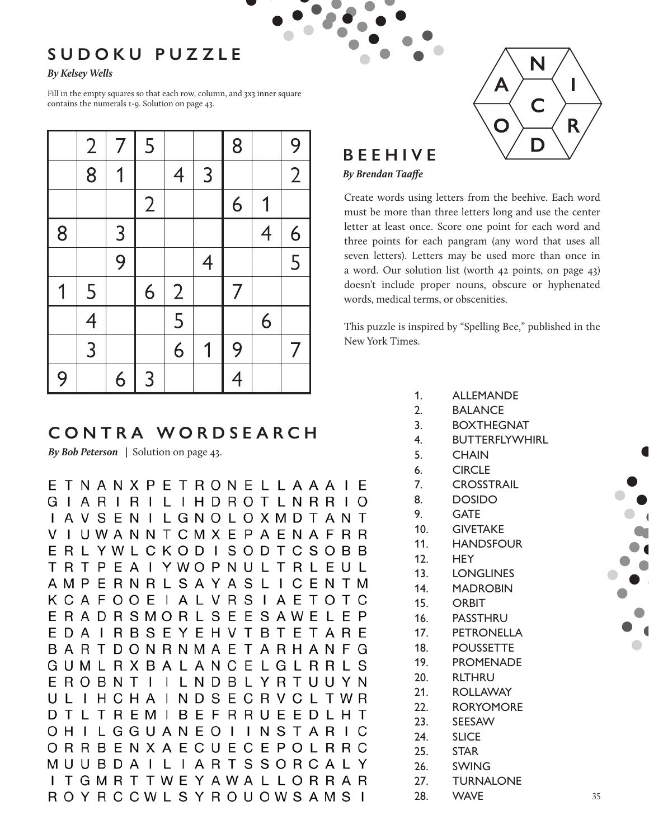## **SUDOKU PUZZLE**

## *By Kelsey Wells*

Fill in the empty squares so that each row, column, and 3x3 inner square contains the numerals 1-9. Solution on page 43.

|   | $\overline{2}$ | 7              | 5              |                |                | 8 |                | 9              |
|---|----------------|----------------|----------------|----------------|----------------|---|----------------|----------------|
|   | 8              | 1              |                | $\overline{4}$ | 3              |   |                | $\overline{2}$ |
|   |                |                | $\overline{2}$ |                |                | 6 | 1              |                |
| 8 |                | 3              |                |                |                |   | $\overline{4}$ | 6              |
|   |                | $\overline{9}$ |                |                | $\overline{4}$ |   |                | 5              |
| 1 | 5              |                | 6              | $\overline{2}$ |                | 7 |                |                |
|   | $\overline{4}$ |                |                | 5              |                |   | 6              |                |
|   | $\overline{3}$ |                |                | 6              | 1              | 9 |                | 7              |
| 9 |                | 6              | 3              |                |                | 4 |                |                |

# **CONTRA WORDSEARCH**

*By Bob Peterson |* Solution on page 43.

ETNANXPETRONELLAAAIE GIARIRILIHDROTLNRRIO I A V S E N I L G N O L O X M D T A N T I U W A N N T C M X E P A E N A F R R V ERLYWLCKODISODTCSOBB T R T P E A I Y W O P N U L T R L E U L AMPERNRLSAYASLICENTM K C A F O O E I A L V R S I A E T O T C E R A D R S M O R L S E E S A W E L E P E D A I R B S E Y E H V T B T E T A R E BARTDONRNMAETARHANFG GUMLRXBALANCELGLRRLS EROBNTIILNDBLYRTUUYN ULIHCHAINDSECRVCLTWR DTLTREMIBEFRRUEEDLHT OHILGGUANEOIINSTARIC ORRBENXAECUECEPOLRRC MUUBDAILIARTSSORCALY I T G M R T T W E Y A W A L L O R R A R ROYRCCWLSYROUOWSAMSI 28. WAVE 35



## **BEEHIVE**

## *By Brendan Taaffe*

Create words using letters from the beehive. Each word must be more than three letters long and use the center letter at least once. Score one point for each word and three points for each pangram (any word that uses all seven letters). Letters may be used more than once in a word. Our solution list (worth 42 points, on page 43) doesn't include proper nouns, obscure or hyphenated words, medical terms, or obscenities.

This puzzle is inspired by "Spelling Bee," published in the New York Times.

- 1. ALLEMANDE
- 2. BALANCE
- 3. BOXTHEGNAT
- 4. BUTTERFLYWHIRL
- 5. CHAIN
- 6. CIRCLE
- 7. CROSSTRAIL
- 8. DOSIDO
- 9. GATE
- 10. GIVETAKE
- 11. HANDSFOUR
- 12. HEY
- 13. LONGLINES
- 14. MADROBIN
	- 15. ORBIT
- 16. PASSTHRU
- 17. PETRONELLA
- 18. POUSSETTE
- 19. PROMENADE
	- 20. RLTHRU
- 21. ROLLAWAY
- 22. RORYOMORE
	- 23. SEESAW
	- 24. SLICE
	- 25. STAR
- 26. SWING
	- 27. TURNALONE
		- **WAVE**